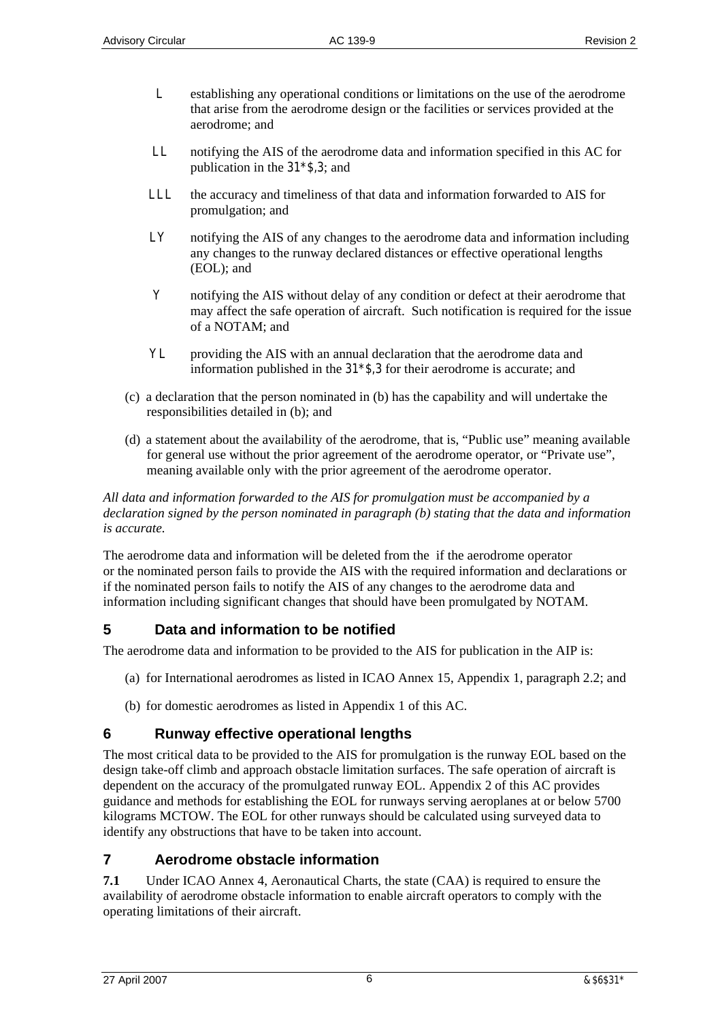- L establishing any operational conditions or limitations on the use of the aerodrome that arise from the aerodrome design or the facilities or services provided at the aerodrome; and
- LL notifying the AIS of the aerodrome data and information specified in this AC for publication in the 31\*\$,3; and
- LLL the accuracy and timeliness of that data and information forwarded to AIS for promulgation; and
- LY notifying the AIS of any changes to the aerodrome data and information including any changes to the runway declared distances or effective operational lengths (EOL); and
- Y notifying the AIS without delay of any condition or defect at their aerodrome that may affect the safe operation of aircraft. Such notification is required for the issue of a NOTAM; and
- YL providing the AIS with an annual declaration that the aerodrome data and information published in the 31\*\$,3 for their aerodrome is accurate; and
- (c) a declaration that the person nominated in (b) has the capability and will undertake the responsibilities detailed in (b); and
- (d) a statement about the availability of the aerodrome, that is, "Public use" meaning available for general use without the prior agreement of the aerodrome operator, or "Private use", meaning available only with the prior agreement of the aerodrome operator.

*All data and information forwarded to the AIS for promulgation must be accompanied by a declaration signed by the person nominated in paragraph (b) stating that the data and information is accurate.* 

The aerodrome data and information will be deleted from the 31\*\$,3 if the aerodrome operator or the nominated person fails to provide the AIS with the required information and declarations or if the nominated person fails to notify the AIS of any changes to the aerodrome data and information including significant changes that should have been promulgated by NOTAM.

## **5 Data and information to be notified**

The aerodrome data and information to be provided to the AIS for publication in the AIP is:

- (a) for International aerodromes as listed in ICAO Annex 15, Appendix 1, paragraph 2.2; and
- (b) for domestic aerodromes as listed in Appendix 1 of this AC.

## **6 Runway effective operational lengths**

The most critical data to be provided to the AIS for promulgation is the runway EOL based on the design take-off climb and approach obstacle limitation surfaces. The safe operation of aircraft is dependent on the accuracy of the promulgated runway EOL. Appendix 2 of this AC provides guidance and methods for establishing the EOL for runways serving aeroplanes at or below 5700 kilograms MCTOW. The EOL for other runways should be calculated using surveyed data to identify any obstructions that have to be taken into account.

## **7 Aerodrome obstacle information**

**7.1** Under ICAO Annex 4, Aeronautical Charts, the state (CAA) is required to ensure the availability of aerodrome obstacle information to enable aircraft operators to comply with the operating limitations of their aircraft.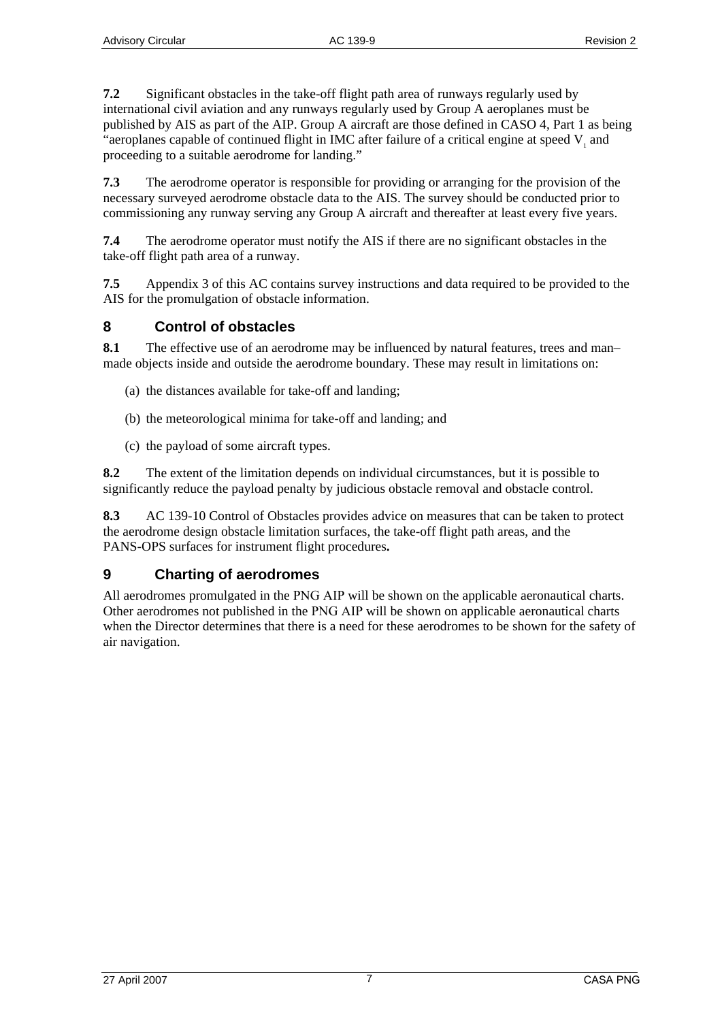**7.2** Significant obstacles in the take-off flight path area of runways regularly used by international civil aviation and any runways regularly used by Group A aeroplanes must be published by AIS as part of the AIP. Group A aircraft are those defined in CASO 4, Part 1 as being "aeroplanes capable of continued flight in IMC after failure of a critical engine at speed  $V_1$  and proceeding to a suitable aerodrome for landing."

**7.3** The aerodrome operator is responsible for providing or arranging for the provision of the necessary surveyed aerodrome obstacle data to the AIS. The survey should be conducted prior to commissioning any runway serving any Group A aircraft and thereafter at least every five years.

**7.4** The aerodrome operator must notify the AIS if there are no significant obstacles in the take-off flight path area of a runway.

**7.5** Appendix 3 of this AC contains survey instructions and data required to be provided to the AIS for the promulgation of obstacle information.

# **8 Control of obstacles**

**8.1** The effective use of an aerodrome may be influenced by natural features, trees and man– made objects inside and outside the aerodrome boundary. These may result in limitations on:

- (a) the distances available for take-off and landing;
- (b) the meteorological minima for take-off and landing; and
- (c) the payload of some aircraft types.

**8.2** The extent of the limitation depends on individual circumstances, but it is possible to significantly reduce the payload penalty by judicious obstacle removal and obstacle control.

**8.3** AC 139-10 Control of Obstacles provides advice on measures that can be taken to protect the aerodrome design obstacle limitation surfaces, the take-off flight path areas, and the PANS-OPS surfaces for instrument flight procedures**.** 

# **9 Charting of aerodromes**

All aerodromes promulgated in the PNG AIP will be shown on the applicable aeronautical charts. Other aerodromes not published in the PNG AIP will be shown on applicable aeronautical charts when the Director determines that there is a need for these aerodromes to be shown for the safety of air navigation.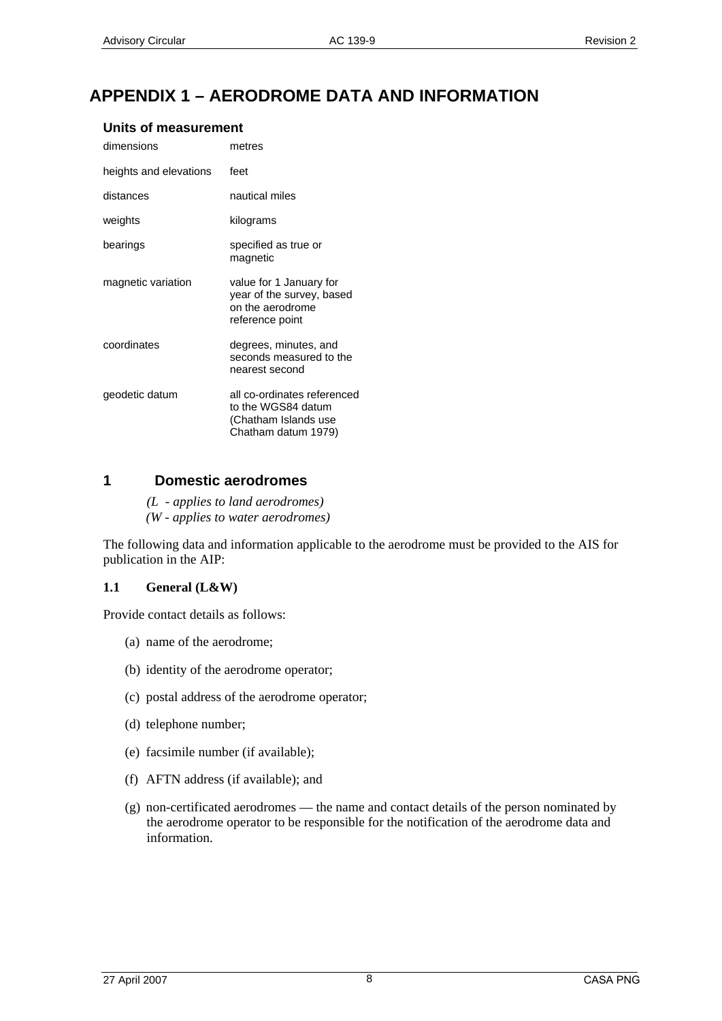# **APPENDIX 1 – AERODROME DATA AND INFORMATION**

| dimensions             | metres                                                                                           |
|------------------------|--------------------------------------------------------------------------------------------------|
| heights and elevations | feet                                                                                             |
| distances              | nautical miles                                                                                   |
| weights                | kilograms                                                                                        |
| bearings               | specified as true or<br>magnetic                                                                 |
| magnetic variation     | value for 1 January for<br>year of the survey, based<br>on the aerodrome<br>reference point      |
| coordinates            | degrees, minutes, and<br>seconds measured to the<br>nearest second                               |
| geodetic datum         | all co-ordinates referenced<br>to the WGS84 datum<br>(Chatham Islands use<br>Chatham datum 1979) |

#### **Units of measurement**

#### **1 Domestic aerodromes**

 *(L - applies to land aerodromes) (W - applies to water aerodromes)* 

The following data and information applicable to the aerodrome must be provided to the AIS for publication in the AIP:

#### **1.1 General (L&W)**

Provide contact details as follows:

- (a) name of the aerodrome;
- (b) identity of the aerodrome operator;
- (c) postal address of the aerodrome operator;
- (d) telephone number;
- (e) facsimile number (if available);
- (f) AFTN address (if available); and
- (g) non-certificated aerodromes the name and contact details of the person nominated by the aerodrome operator to be responsible for the notification of the aerodrome data and information.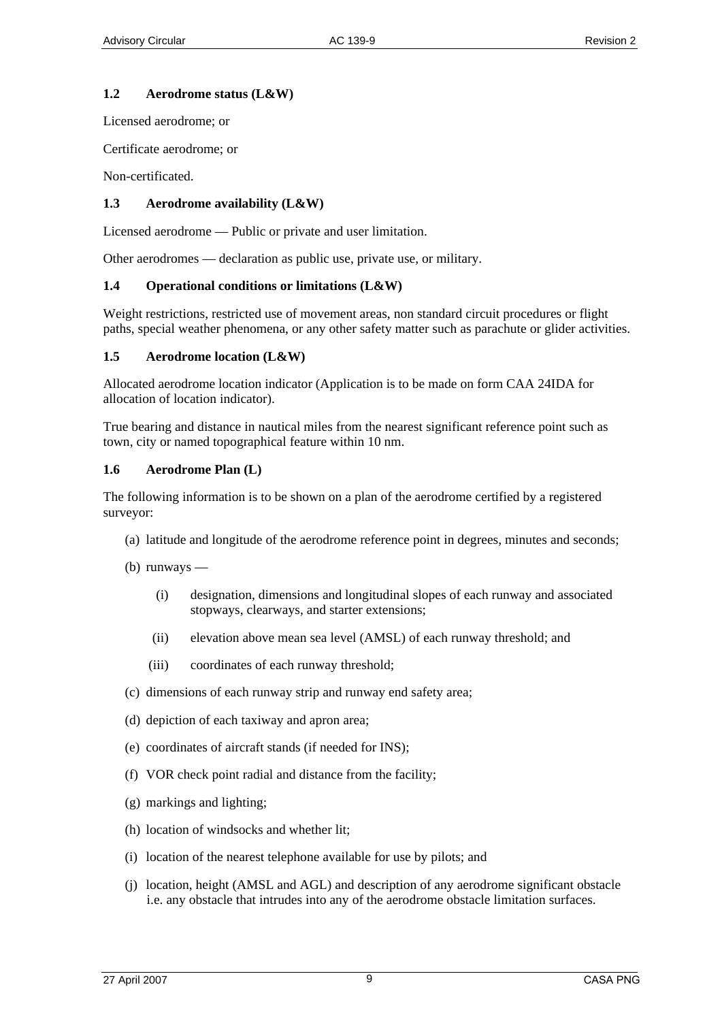#### **1.2 Aerodrome status (L&W)**

Licensed aerodrome; or

Certificate aerodrome; or

Non-certificated.

#### **1.3 Aerodrome availability (L&W)**

Licensed aerodrome — Public or private and user limitation.

Other aerodromes — declaration as public use, private use, or military.

#### **1.4 Operational conditions or limitations (L&W)**

Weight restrictions, restricted use of movement areas, non standard circuit procedures or flight paths, special weather phenomena, or any other safety matter such as parachute or glider activities.

#### **1.5 Aerodrome location (L&W)**

Allocated aerodrome location indicator (Application is to be made on form CAA 24IDA for allocation of location indicator).

True bearing and distance in nautical miles from the nearest significant reference point such as town, city or named topographical feature within 10 nm.

#### **1.6 Aerodrome Plan (L)**

The following information is to be shown on a plan of the aerodrome certified by a registered surveyor:

- (a) latitude and longitude of the aerodrome reference point in degrees, minutes and seconds;
- (b) runways
	- (i) designation, dimensions and longitudinal slopes of each runway and associated stopways, clearways, and starter extensions;
	- (ii) elevation above mean sea level (AMSL) of each runway threshold; and
	- (iii) coordinates of each runway threshold;
- (c) dimensions of each runway strip and runway end safety area;
- (d) depiction of each taxiway and apron area;
- (e) coordinates of aircraft stands (if needed for INS);
- (f) VOR check point radial and distance from the facility;
- (g) markings and lighting;
- (h) location of windsocks and whether lit;
- (i) location of the nearest telephone available for use by pilots; and
- (j) location, height (AMSL and AGL) and description of any aerodrome significant obstacle i.e. any obstacle that intrudes into any of the aerodrome obstacle limitation surfaces.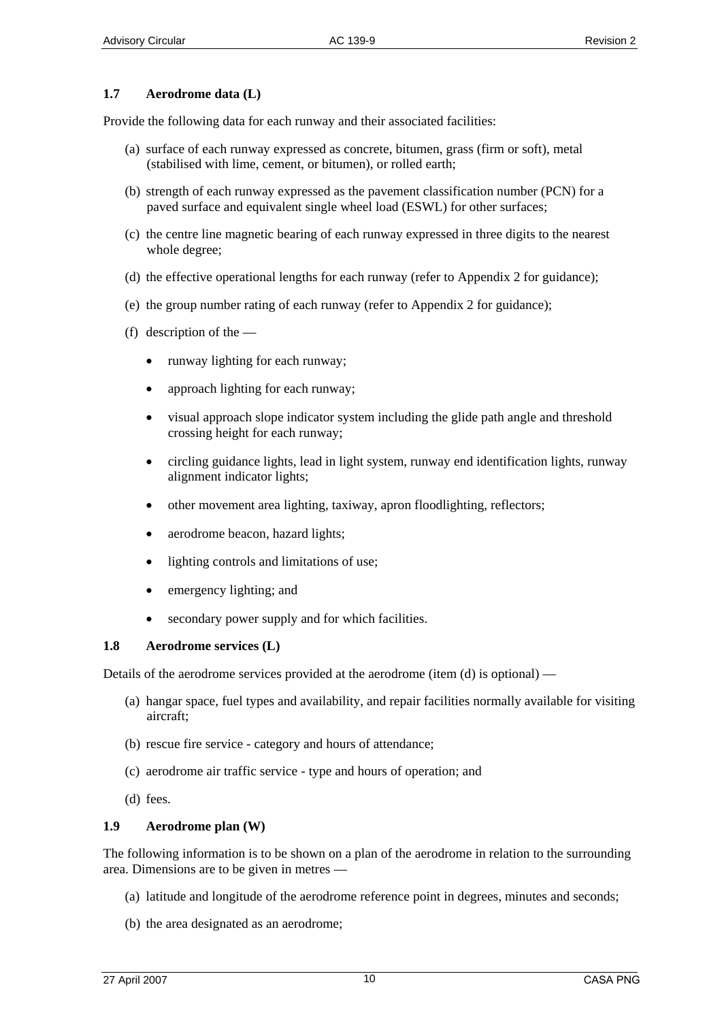#### **1.7 Aerodrome data (L)**

Provide the following data for each runway and their associated facilities:

- (a) surface of each runway expressed as concrete, bitumen, grass (firm or soft), metal (stabilised with lime, cement, or bitumen), or rolled earth;
- (b) strength of each runway expressed as the pavement classification number (PCN) for a paved surface and equivalent single wheel load (ESWL) for other surfaces;
- (c) the centre line magnetic bearing of each runway expressed in three digits to the nearest whole degree;
- (d) the effective operational lengths for each runway (refer to Appendix 2 for guidance);
- (e) the group number rating of each runway (refer to Appendix 2 for guidance);
- (f) description of the  $-$ 
	- runway lighting for each runway;
	- approach lighting for each runway;
	- visual approach slope indicator system including the glide path angle and threshold crossing height for each runway;
	- circling guidance lights, lead in light system, runway end identification lights, runway alignment indicator lights;
	- other movement area lighting, taxiway, apron floodlighting, reflectors;
	- aerodrome beacon, hazard lights;
	- lighting controls and limitations of use;
	- emergency lighting; and
	- secondary power supply and for which facilities.

#### **1.8 Aerodrome services (L)**

Details of the aerodrome services provided at the aerodrome (item (d) is optional) —

- (a) hangar space, fuel types and availability, and repair facilities normally available for visiting aircraft;
- (b) rescue fire service category and hours of attendance;
- (c) aerodrome air traffic service type and hours of operation; and
- (d) fees.

#### **1.9 Aerodrome plan (W)**

The following information is to be shown on a plan of the aerodrome in relation to the surrounding area. Dimensions are to be given in metres —

- (a) latitude and longitude of the aerodrome reference point in degrees, minutes and seconds;
- (b) the area designated as an aerodrome;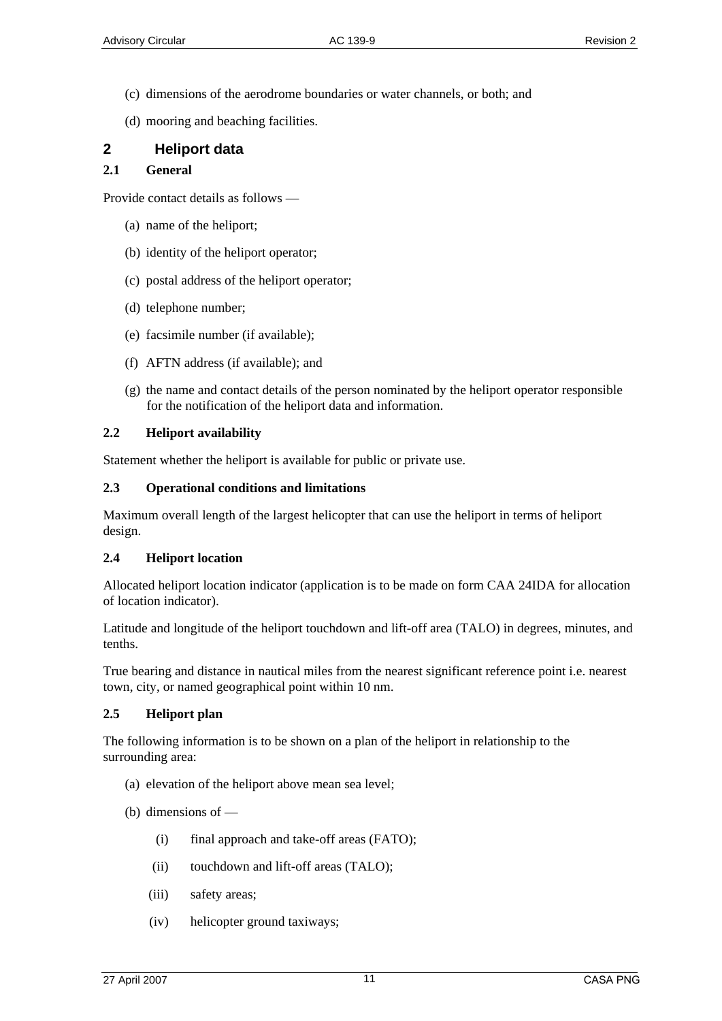- (c) dimensions of the aerodrome boundaries or water channels, or both; and
- (d) mooring and beaching facilities.

# **2 Heliport data**

#### **2.1 General**

Provide contact details as follows —

- (a) name of the heliport;
- (b) identity of the heliport operator;
- (c) postal address of the heliport operator;
- (d) telephone number;
- (e) facsimile number (if available);
- (f) AFTN address (if available); and
- (g) the name and contact details of the person nominated by the heliport operator responsible for the notification of the heliport data and information.

#### **2.2 Heliport availability**

Statement whether the heliport is available for public or private use.

#### **2.3 Operational conditions and limitations**

Maximum overall length of the largest helicopter that can use the heliport in terms of heliport design.

#### **2.4 Heliport location**

Allocated heliport location indicator (application is to be made on form CAA 24IDA for allocation of location indicator).

Latitude and longitude of the heliport touchdown and lift-off area (TALO) in degrees, minutes, and tenths.

True bearing and distance in nautical miles from the nearest significant reference point i.e. nearest town, city, or named geographical point within 10 nm.

#### **2.5 Heliport plan**

The following information is to be shown on a plan of the heliport in relationship to the surrounding area:

- (a) elevation of the heliport above mean sea level;
- (b) dimensions of
	- (i) final approach and take-off areas (FATO);
	- (ii) touchdown and lift-off areas (TALO);
	- (iii) safety areas;
	- (iv) helicopter ground taxiways;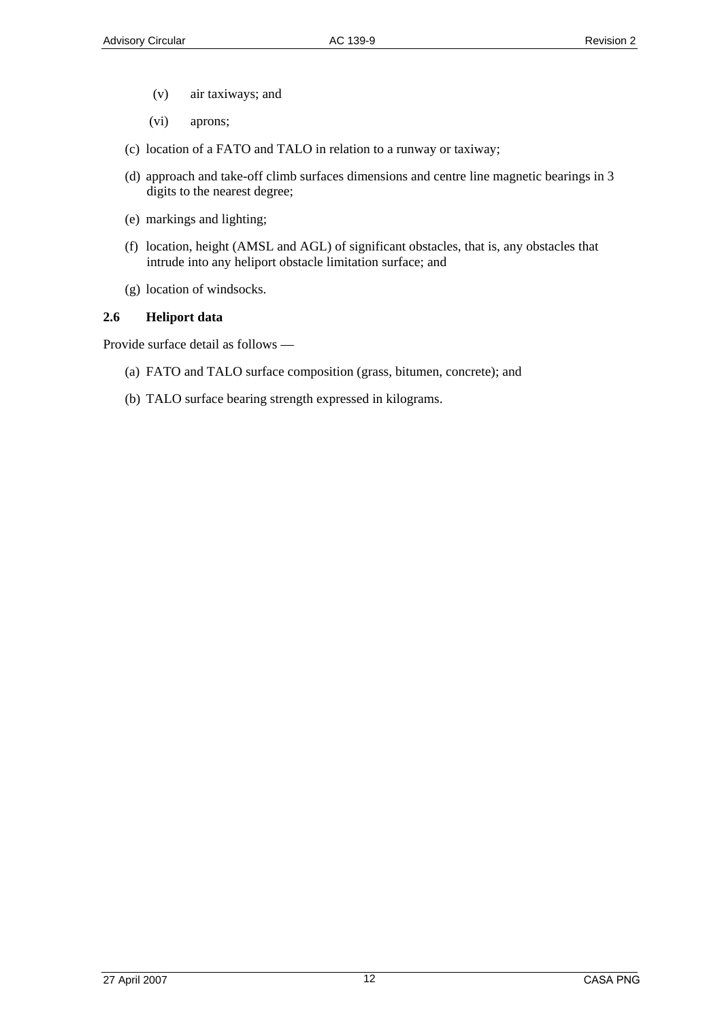- (v) air taxiways; and
- (vi) aprons;
- (c) location of a FATO and TALO in relation to a runway or taxiway;
- (d) approach and take-off climb surfaces dimensions and centre line magnetic bearings in 3 digits to the nearest degree;
- (e) markings and lighting;
- (f) location, height (AMSL and AGL) of significant obstacles, that is, any obstacles that intrude into any heliport obstacle limitation surface; and
- (g) location of windsocks.

#### **2.6 Heliport data**

Provide surface detail as follows —

- (a) FATO and TALO surface composition (grass, bitumen, concrete); and
- (b) TALO surface bearing strength expressed in kilograms.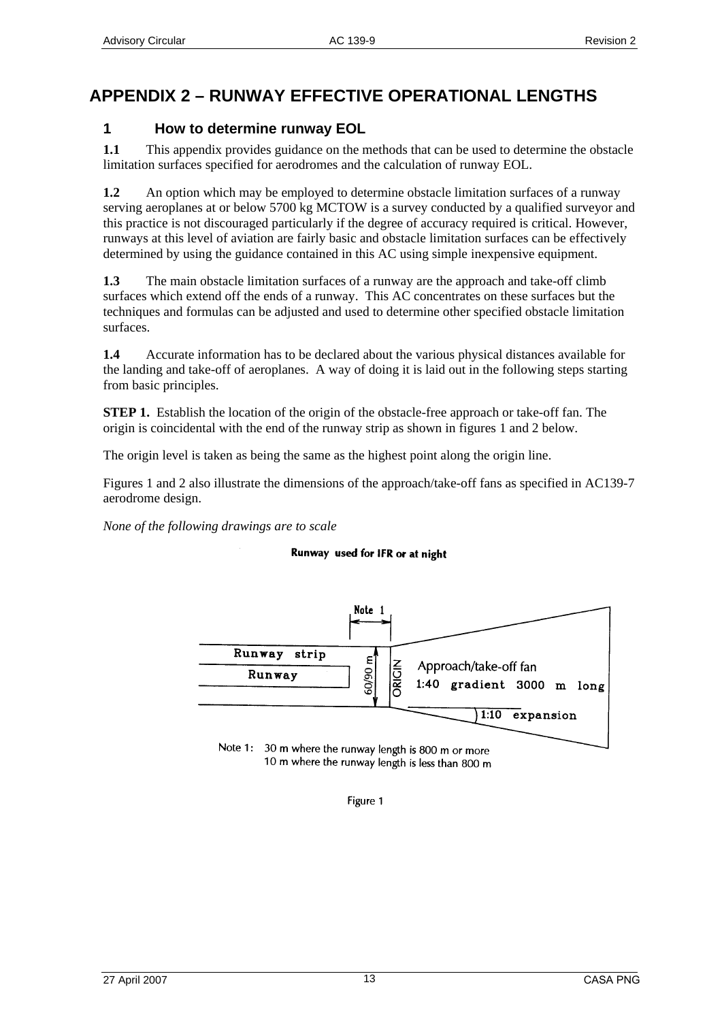# **APPENDIX 2 – RUNWAY EFFECTIVE OPERATIONAL LENGTHS**

## **1 How to determine runway EOL**

**1.1** This appendix provides guidance on the methods that can be used to determine the obstacle limitation surfaces specified for aerodromes and the calculation of runway EOL.

**1.2** An option which may be employed to determine obstacle limitation surfaces of a runway serving aeroplanes at or below 5700 kg MCTOW is a survey conducted by a qualified surveyor and this practice is not discouraged particularly if the degree of accuracy required is critical. However, runways at this level of aviation are fairly basic and obstacle limitation surfaces can be effectively determined by using the guidance contained in this AC using simple inexpensive equipment.

**1.3** The main obstacle limitation surfaces of a runway are the approach and take-off climb surfaces which extend off the ends of a runway. This AC concentrates on these surfaces but the techniques and formulas can be adjusted and used to determine other specified obstacle limitation surfaces.

**1.4** Accurate information has to be declared about the various physical distances available for the landing and take-off of aeroplanes. A way of doing it is laid out in the following steps starting from basic principles.

**STEP 1.** Establish the location of the origin of the obstacle-free approach or take-off fan. The origin is coincidental with the end of the runway strip as shown in figures 1 and 2 below.

The origin level is taken as being the same as the highest point along the origin line.

Figures 1 and 2 also illustrate the dimensions of the approach/take-off fans as specified in AC139-7 aerodrome design.

*None of the following drawings are to scale* 







Figure 1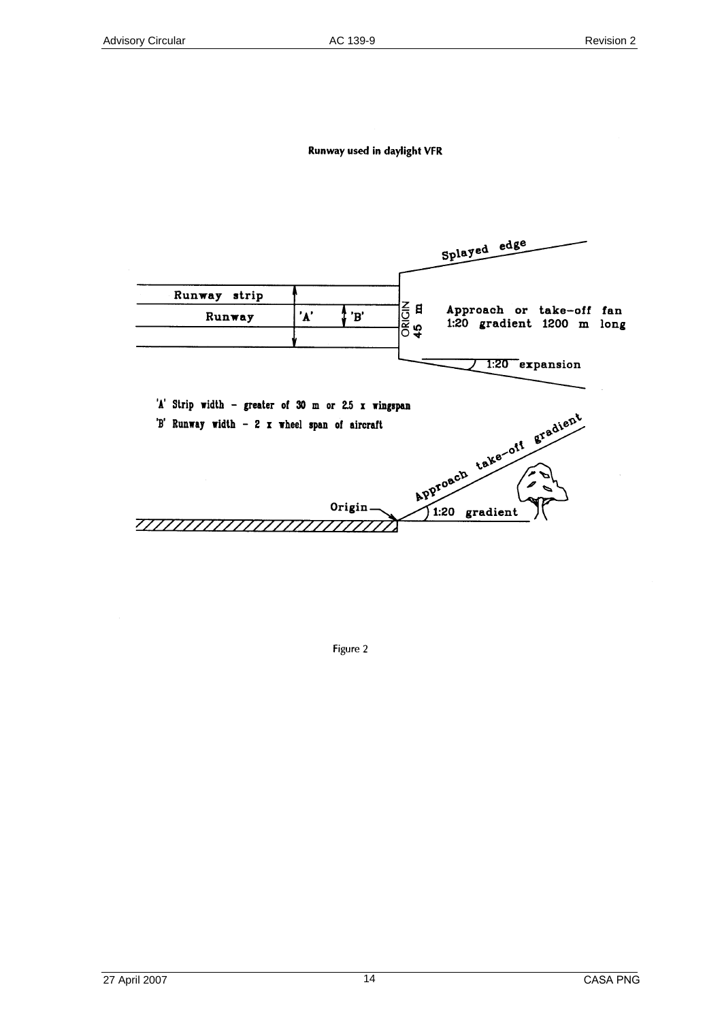Runway used in daylight VFR



Figure 2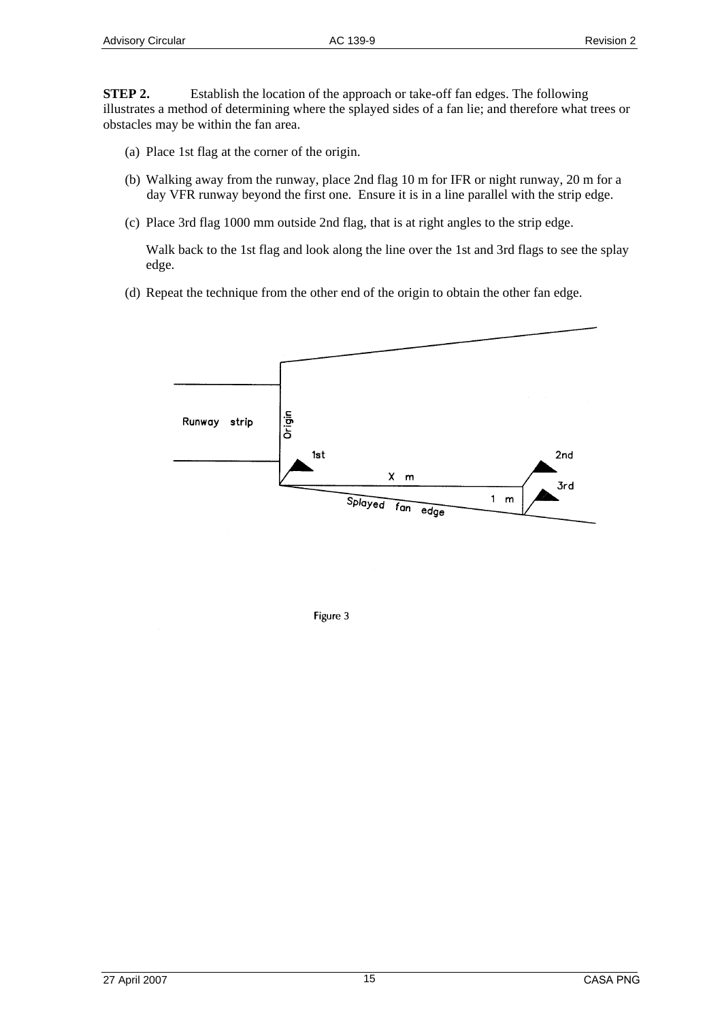**STEP 2.** Establish the location of the approach or take-off fan edges. The following illustrates a method of determining where the splayed sides of a fan lie; and therefore what trees or obstacles may be within the fan area.

- (a) Place 1st flag at the corner of the origin.
- (b) Walking away from the runway, place 2nd flag 10 m for IFR or night runway, 20 m for a day VFR runway beyond the first one. Ensure it is in a line parallel with the strip edge.
- (c) Place 3rd flag 1000 mm outside 2nd flag, that is at right angles to the strip edge.

Walk back to the 1st flag and look along the line over the 1st and 3rd flags to see the splay edge.

(d) Repeat the technique from the other end of the origin to obtain the other fan edge.



Figure 3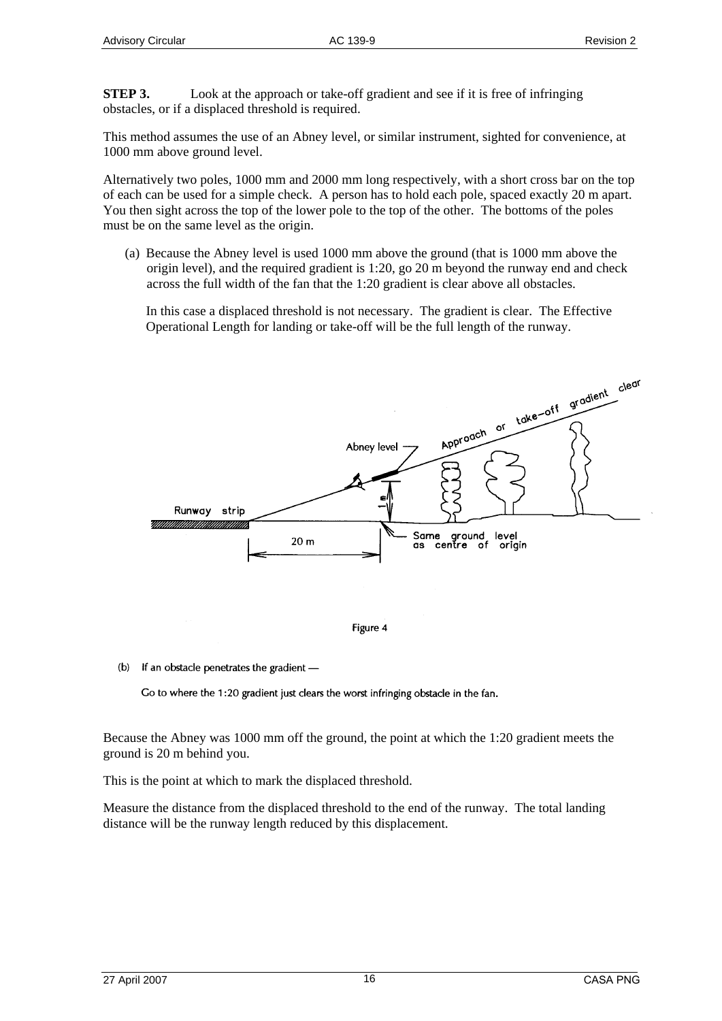**STEP 3.** Look at the approach or take-off gradient and see if it is free of infringing obstacles, or if a displaced threshold is required.

This method assumes the use of an Abney level, or similar instrument, sighted for convenience, at 1000 mm above ground level.

Alternatively two poles, 1000 mm and 2000 mm long respectively, with a short cross bar on the top of each can be used for a simple check. A person has to hold each pole, spaced exactly 20 m apart. You then sight across the top of the lower pole to the top of the other. The bottoms of the poles must be on the same level as the origin.

(a) Because the Abney level is used 1000 mm above the ground (that is 1000 mm above the origin level), and the required gradient is 1:20, go 20 m beyond the runway end and check across the full width of the fan that the 1:20 gradient is clear above all obstacles.

In this case a displaced threshold is not necessary. The gradient is clear. The Effective Operational Length for landing or take-off will be the full length of the runway.



Figure 4

(b) If an obstacle penetrates the gradient -

Go to where the 1:20 gradient just clears the worst infringing obstacle in the fan.

Because the Abney was 1000 mm off the ground, the point at which the 1:20 gradient meets the ground is 20 m behind you.

This is the point at which to mark the displaced threshold.

Measure the distance from the displaced threshold to the end of the runway. The total landing distance will be the runway length reduced by this displacement.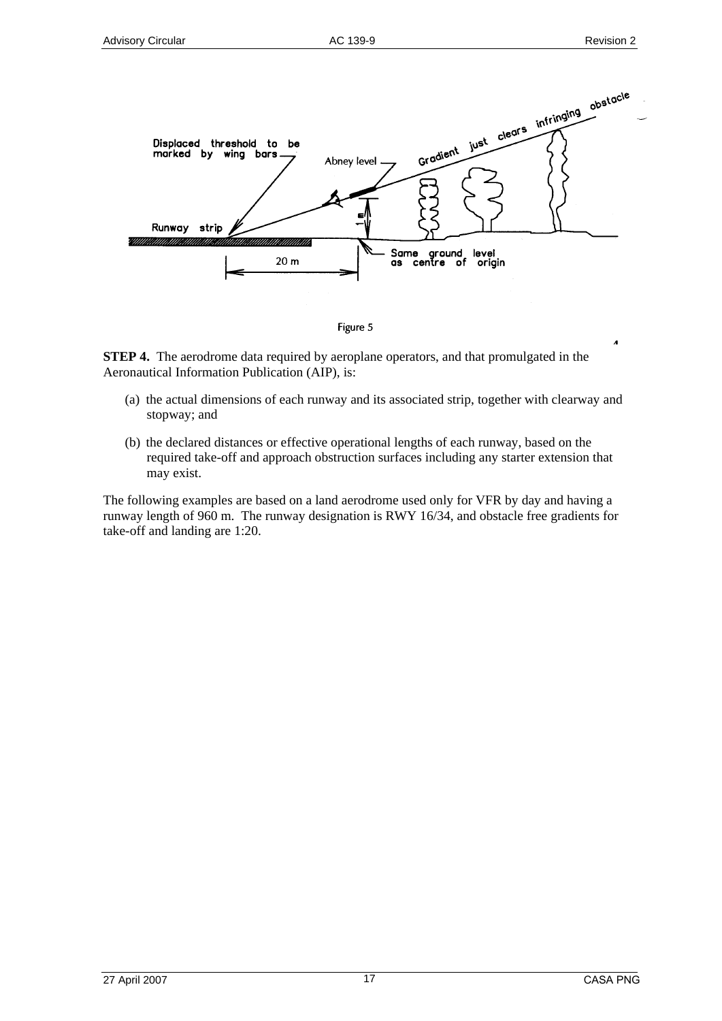$\overline{A}$ 





**STEP 4.** The aerodrome data required by aeroplane operators, and that promulgated in the Aeronautical Information Publication (AIP), is:

- (a) the actual dimensions of each runway and its associated strip, together with clearway and stopway; and
- (b) the declared distances or effective operational lengths of each runway, based on the required take-off and approach obstruction surfaces including any starter extension that may exist.

The following examples are based on a land aerodrome used only for VFR by day and having a runway length of 960 m. The runway designation is RWY 16/34, and obstacle free gradients for take-off and landing are 1:20.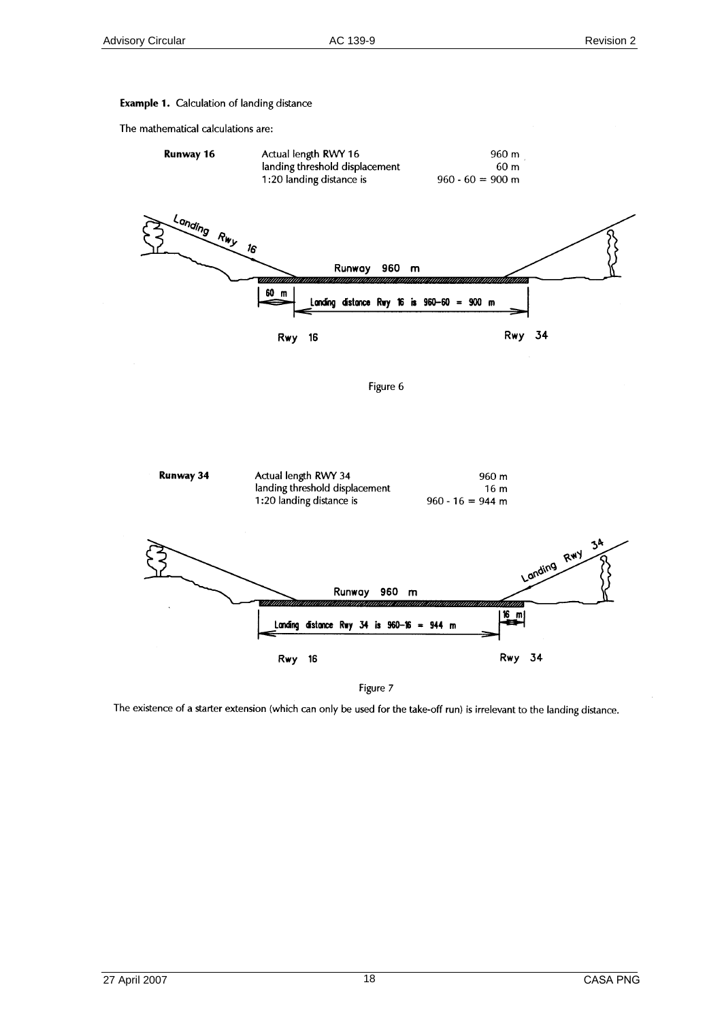#### **Example 1. Calculation of landing distance**

The mathematical calculations are:



Figure 7

The existence of a starter extension (which can only be used for the take-off run) is irrelevant to the landing distance.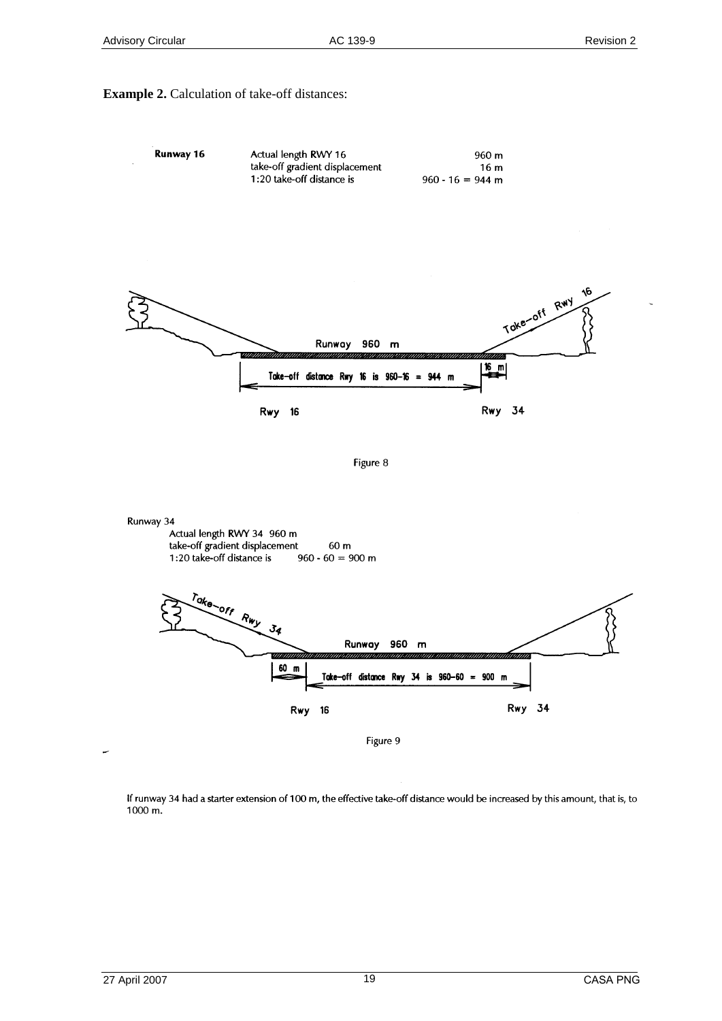







If runway 34 had a starter extension of 100 m, the effective take-off distance would be increased by this amount, that is, to  $1000 \, \text{m}$ .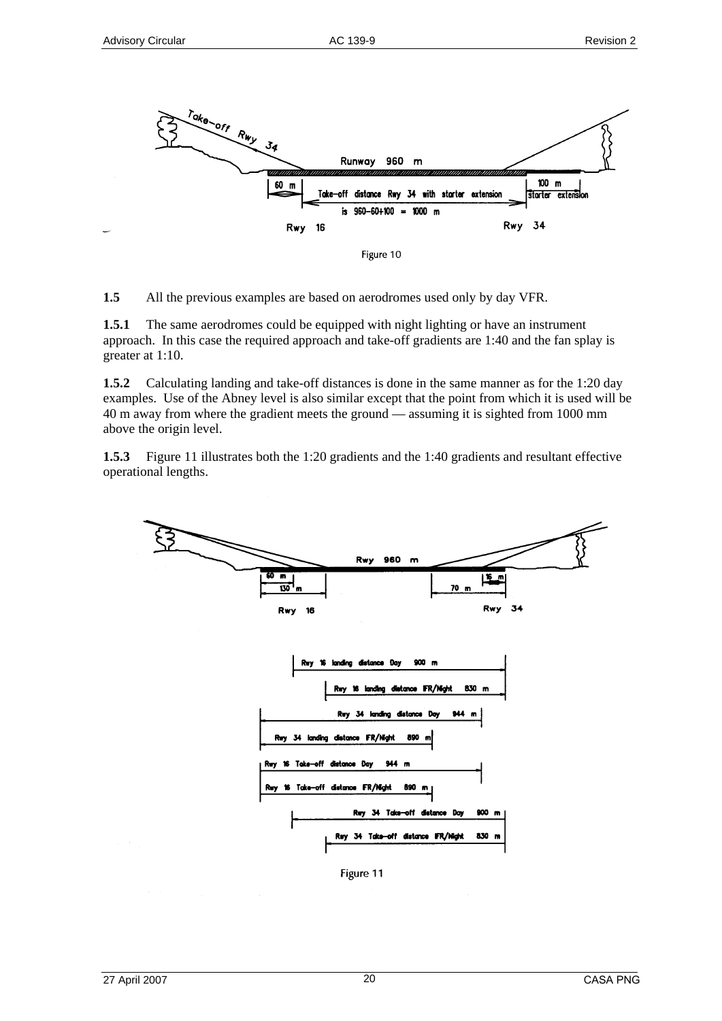

**1.5** All the previous examples are based on aerodromes used only by day VFR.

**1.5.1** The same aerodromes could be equipped with night lighting or have an instrument approach. In this case the required approach and take-off gradients are 1:40 and the fan splay is greater at 1:10.

**1.5.2** Calculating landing and take-off distances is done in the same manner as for the 1:20 day examples. Use of the Abney level is also similar except that the point from which it is used will be 40 m away from where the gradient meets the ground — assuming it is sighted from 1000 mm above the origin level.

**1.5.3** Figure 11 illustrates both the 1:20 gradients and the 1:40 gradients and resultant effective operational lengths.



Figure 11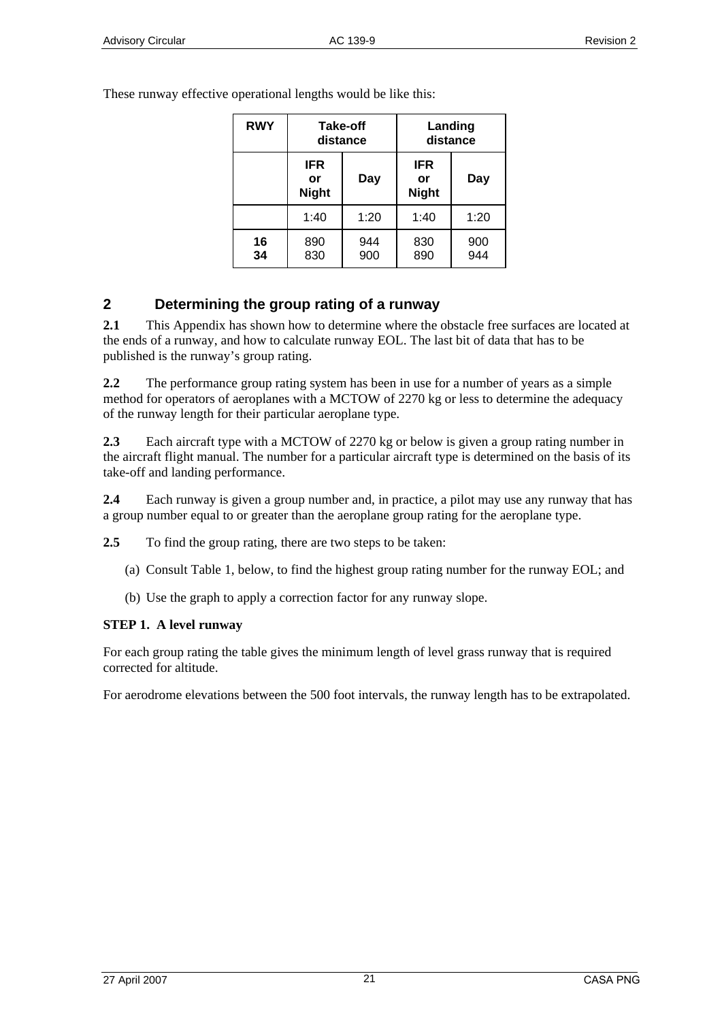These runway effective operational lengths would be like this:

| <b>RWY</b> | Take-off<br>distance                    |            | Landing<br>distance              |            |
|------------|-----------------------------------------|------------|----------------------------------|------------|
|            | <b>IFR</b><br>Day<br>or<br><b>Night</b> |            | <b>IFR</b><br>or<br><b>Night</b> | Day        |
|            | 1:40                                    | 1:20       | 1:40                             | 1:20       |
| 16<br>34   | 890<br>830                              | 944<br>900 | 830<br>890                       | 900<br>944 |

# **2 Determining the group rating of a runway**

**2.1** This Appendix has shown how to determine where the obstacle free surfaces are located at the ends of a runway, and how to calculate runway EOL. The last bit of data that has to be published is the runway's group rating.

**2.2** The performance group rating system has been in use for a number of years as a simple method for operators of aeroplanes with a MCTOW of 2270 kg or less to determine the adequacy of the runway length for their particular aeroplane type.

**2.3** Each aircraft type with a MCTOW of 2270 kg or below is given a group rating number in the aircraft flight manual. The number for a particular aircraft type is determined on the basis of its take-off and landing performance.

**2.4** Each runway is given a group number and, in practice, a pilot may use any runway that has a group number equal to or greater than the aeroplane group rating for the aeroplane type.

**2.5** To find the group rating, there are two steps to be taken:

(a) Consult Table 1, below, to find the highest group rating number for the runway EOL; and

(b) Use the graph to apply a correction factor for any runway slope.

### **STEP 1. A level runway**

For each group rating the table gives the minimum length of level grass runway that is required corrected for altitude.

For aerodrome elevations between the 500 foot intervals, the runway length has to be extrapolated.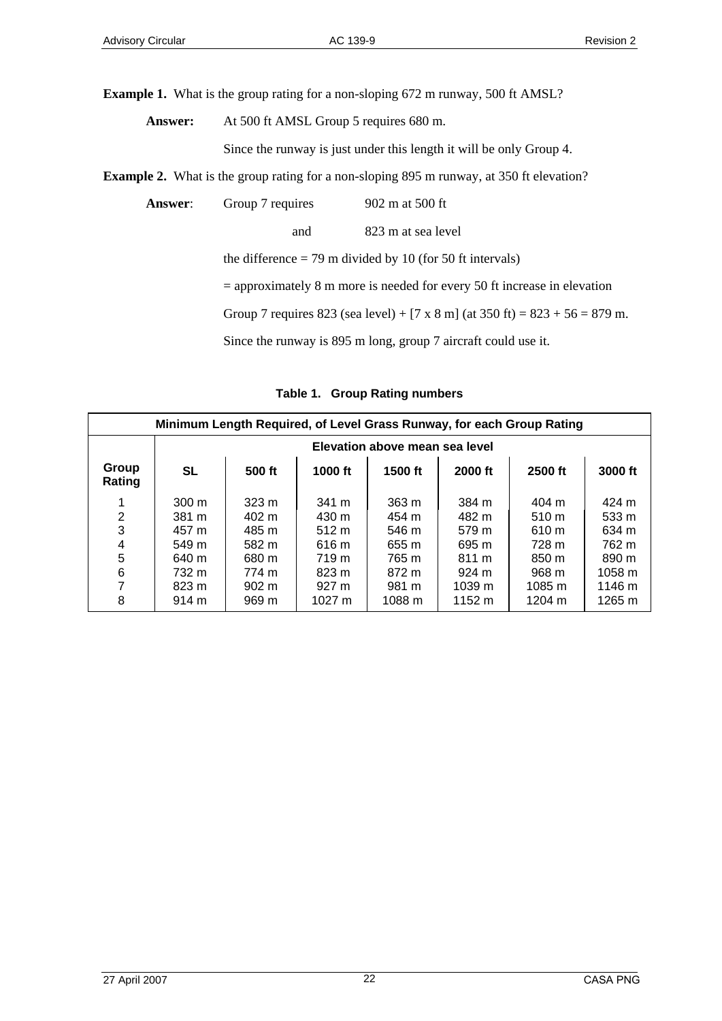**Example 1.** What is the group rating for a non-sloping 672 m runway, 500 ft AMSL?

**Answer:** At 500 ft AMSL Group 5 requires 680 m.

Since the runway is just under this length it will be only Group 4.

**Example 2.** What is the group rating for a non-sloping 895 m runway, at 350 ft elevation?

| <b>Answer:</b> | Group 7 requires | 902 m at 500 ft |
|----------------|------------------|-----------------|
|----------------|------------------|-----------------|

and 823 m at sea level

the difference  $= 79$  m divided by 10 (for 50 ft intervals)

 $=$  approximately 8 m more is needed for every 50 ft increase in elevation

Group 7 requires 823 (sea level) +  $[7 \times 8 \text{ m}]$  (at 350 ft) = 823 + 56 = 879 m.

Since the runway is 895 m long, group 7 aircraft could use it.

| Minimum Length Required, of Level Grass Runway, for each Group Rating |                                |                 |                 |         |                   |                  |         |
|-----------------------------------------------------------------------|--------------------------------|-----------------|-----------------|---------|-------------------|------------------|---------|
|                                                                       | Elevation above mean sea level |                 |                 |         |                   |                  |         |
| Group<br>Rating                                                       | <b>SL</b>                      | 500 ft          | 1000 ft         | 1500 ft | 2000 ft           | 2500 ft          | 3000 ft |
|                                                                       | $300 \text{ m}$                | 323 m           | 341 m           | 363 m   | 384 m             | 404 m            | 424 m   |
| $\overline{2}$                                                        | 381 m                          | 402 m           | 430 m           | 454 m   | 482 m             | 510 m            | 533 m   |
| 3                                                                     | 457 m                          | 485 m           | 512 m           | 546 m   | 579 m             | 610 m            | 634 m   |
| 4                                                                     | 549 m                          | 582 m           | 616 m           | 655 m   | 695 m             | 728 m            | 762 m   |
| 5                                                                     | 640 m                          | 680 m           | 719 m           | 765 m   | $811 \text{ m}$   | 850 m            | 890 m   |
| 6                                                                     | 732 m                          | 774 m           | 823 m           | 872 m   | $924 \text{ m}$   | 968 m            | 1058 m  |
| 7                                                                     | 823 m                          | $902 \text{ m}$ | $927 \text{ m}$ | 981 m   | 1039 <sub>m</sub> | $1085 \text{ m}$ | 1146 m  |
| 8                                                                     | 914 m                          | 969 m           | 1027 m          | 1088 m  | 1152 $m$          | 1204 m           | 1265 m  |

**Table 1. Group Rating numbers**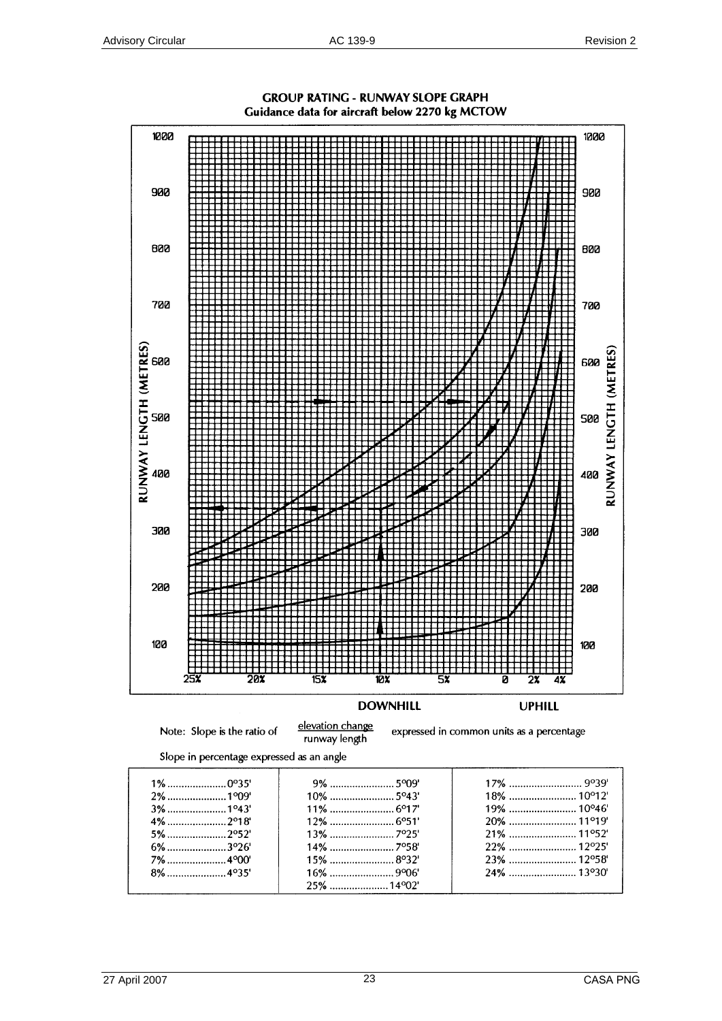

**GROUP RATING - RUNWAY SLOPE GRAPH** Guidance data for aircraft below 2270 kg MCTOW

**DOWNHILL** 

**UPHILL** 

elevation change<br>runway length Note: Slope is the ratio of

expressed in common units as a percentage



| 2% 1°09'    |  |
|-------------|--|
|             |  |
| 4% 2°18'    |  |
| $6\%$ 3°26' |  |
|             |  |
|             |  |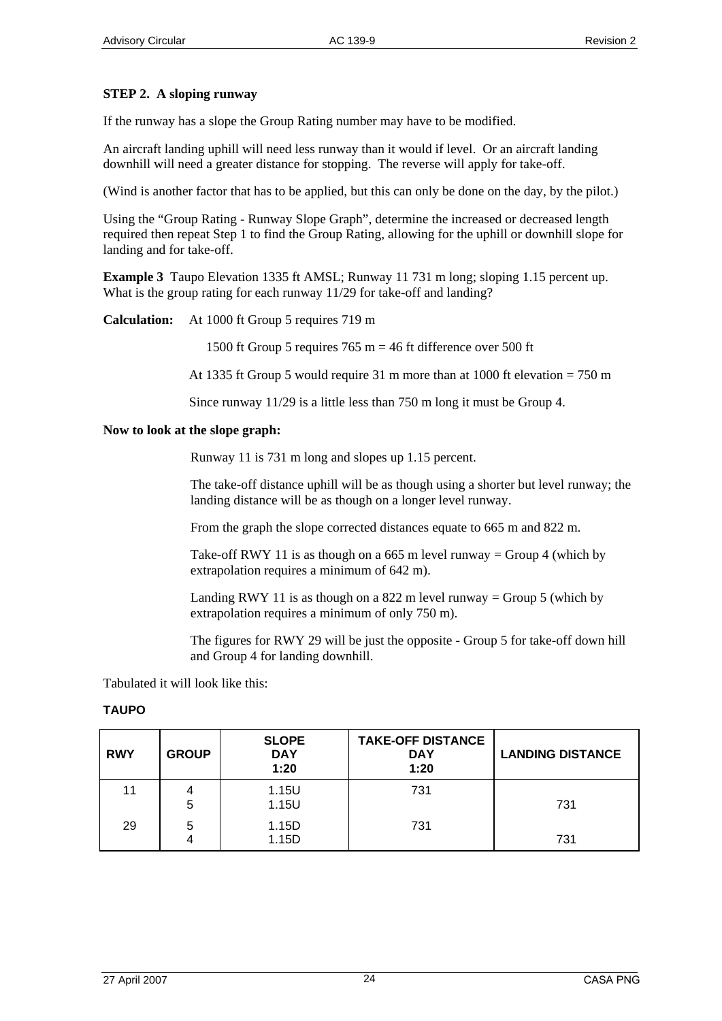#### **STEP 2. A sloping runway**

If the runway has a slope the Group Rating number may have to be modified.

An aircraft landing uphill will need less runway than it would if level. Or an aircraft landing downhill will need a greater distance for stopping. The reverse will apply for take-off.

(Wind is another factor that has to be applied, but this can only be done on the day, by the pilot.)

Using the "Group Rating - Runway Slope Graph", determine the increased or decreased length required then repeat Step 1 to find the Group Rating, allowing for the uphill or downhill slope for landing and for take-off.

**Example 3** Taupo Elevation 1335 ft AMSL; Runway 11 731 m long; sloping 1.15 percent up. What is the group rating for each runway 11/29 for take-off and landing?

**Calculation:** At 1000 ft Group 5 requires 719 m

1500 ft Group 5 requires  $765 \text{ m} = 46 \text{ ft}$  difference over 500 ft

At 1335 ft Group 5 would require 31 m more than at 1000 ft elevation = 750 m

Since runway 11/29 is a little less than 750 m long it must be Group 4.

#### **Now to look at the slope graph:**

Runway 11 is 731 m long and slopes up 1.15 percent.

The take-off distance uphill will be as though using a shorter but level runway; the landing distance will be as though on a longer level runway.

From the graph the slope corrected distances equate to 665 m and 822 m.

Take-off RWY 11 is as though on a 665 m level runway = Group 4 (which by extrapolation requires a minimum of 642 m).

Landing RWY 11 is as though on a 822 m level runway = Group 5 (which by extrapolation requires a minimum of only 750 m).

The figures for RWY 29 will be just the opposite - Group 5 for take-off down hill and Group 4 for landing downhill.

Tabulated it will look like this:

#### **TAUPO**

| <b>RWY</b> | <b>GROUP</b> | <b>SLOPE</b><br><b>DAY</b><br>1:20 | <b>TAKE-OFF DISTANCE</b><br><b>DAY</b><br>1:20 | <b>LANDING DISTANCE</b> |
|------------|--------------|------------------------------------|------------------------------------------------|-------------------------|
| 11         | 5            | 1.15U<br>1.15U                     | 731                                            | 731                     |
| 29         | 5            | 1.15D<br>1.15D                     | 731                                            | 731                     |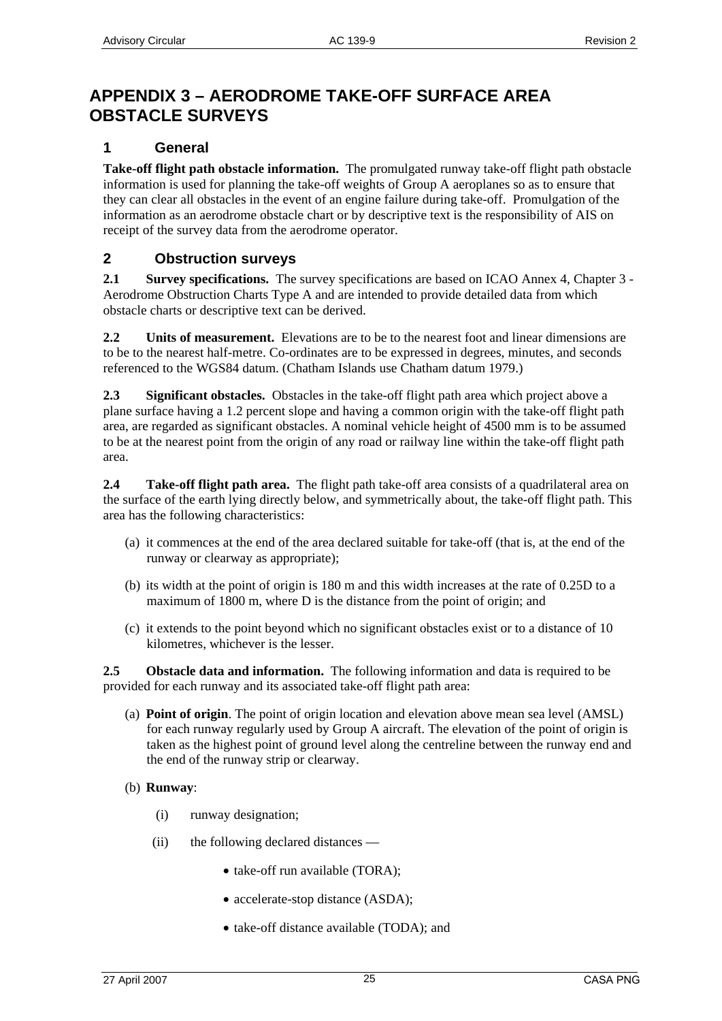# **APPENDIX 3 – AERODROME TAKE-OFF SURFACE AREA OBSTACLE SURVEYS**

### **1 General**

**Take-off flight path obstacle information.** The promulgated runway take-off flight path obstacle information is used for planning the take-off weights of Group A aeroplanes so as to ensure that they can clear all obstacles in the event of an engine failure during take-off. Promulgation of the information as an aerodrome obstacle chart or by descriptive text is the responsibility of AIS on receipt of the survey data from the aerodrome operator.

## **2 Obstruction surveys**

**2.1** Survey specifications. The survey specifications are based on ICAO Annex 4, Chapter 3 -Aerodrome Obstruction Charts Type A and are intended to provide detailed data from which obstacle charts or descriptive text can be derived.

**2.2 Units of measurement.** Elevations are to be to the nearest foot and linear dimensions are to be to the nearest half-metre. Co-ordinates are to be expressed in degrees, minutes, and seconds referenced to the WGS84 datum. (Chatham Islands use Chatham datum 1979.)

**2.3 Significant obstacles.** Obstacles in the take-off flight path area which project above a plane surface having a 1.2 percent slope and having a common origin with the take-off flight path area, are regarded as significant obstacles. A nominal vehicle height of 4500 mm is to be assumed to be at the nearest point from the origin of any road or railway line within the take-off flight path area.

**2.4 Take-off flight path area.** The flight path take-off area consists of a quadrilateral area on the surface of the earth lying directly below, and symmetrically about, the take-off flight path. This area has the following characteristics:

- (a) it commences at the end of the area declared suitable for take-off (that is, at the end of the runway or clearway as appropriate);
- (b) its width at the point of origin is 180 m and this width increases at the rate of 0.25D to a maximum of 1800 m, where D is the distance from the point of origin; and
- (c) it extends to the point beyond which no significant obstacles exist or to a distance of 10 kilometres, whichever is the lesser.

**2.5 Obstacle data and information.** The following information and data is required to be provided for each runway and its associated take-off flight path area:

- (a) **Point of origin**. The point of origin location and elevation above mean sea level (AMSL) for each runway regularly used by Group A aircraft. The elevation of the point of origin is taken as the highest point of ground level along the centreline between the runway end and the end of the runway strip or clearway.
- (b) **Runway**:
	- (i) runway designation;
	- (ii) the following declared distances
		- take-off run available (TORA);
		- accelerate-stop distance (ASDA);
		- take-off distance available (TODA); and